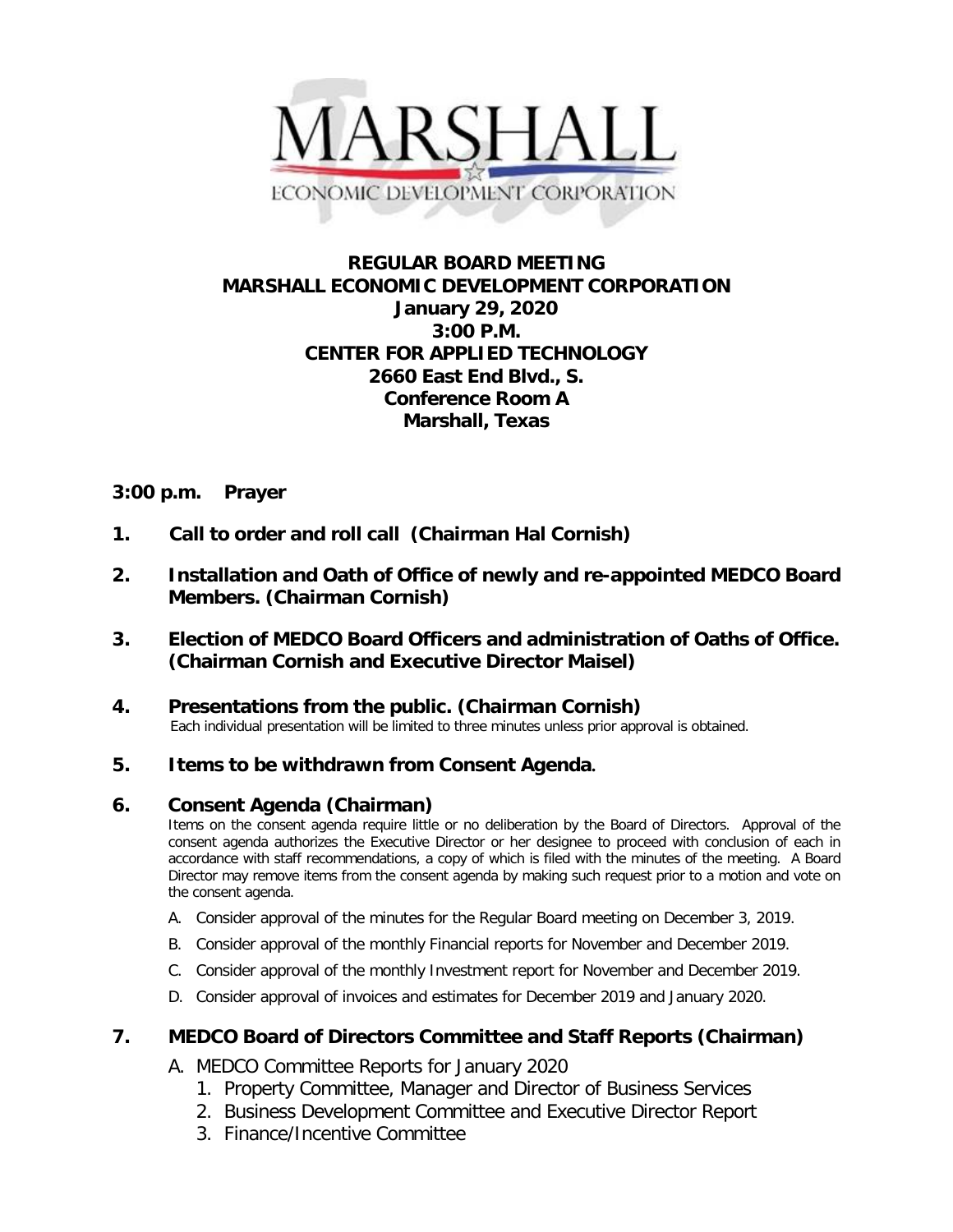

# **REGULAR BOARD MEETING MARSHALL ECONOMIC DEVELOPMENT CORPORATION January 29, 2020 3:00 P.M. CENTER FOR APPLIED TECHNOLOGY 2660 East End Blvd., S. Conference Room A Marshall, Texas**

# **3:00 p.m. Prayer**

- **1. Call to order and roll call (Chairman Hal Cornish)**
- **2. Installation and Oath of Office of newly and re-appointed MEDCO Board Members. (Chairman Cornish)**
- **3. Election of MEDCO Board Officers and administration of Oaths of Office. (Chairman Cornish and Executive Director Maisel)**

# **4. Presentations from the public. (Chairman Cornish)**<br>Each individual presentation will be limited to three minutes unless prior approval is obtained.

# **5. Items to be withdrawn from Consent Agenda.**

## **6. Consent Agenda (Chairman)**

Items on the consent agenda require little or no deliberation by the Board of Directors. Approval of the consent agenda authorizes the Executive Director or her designee to proceed with conclusion of each in accordance with staff recommendations, a copy of which is filed with the minutes of the meeting. A Board Director may remove items from the consent agenda by making such request prior to a motion and vote on the consent agenda.

- A. Consider approval of the minutes for the Regular Board meeting on December 3, 2019.
- B. Consider approval of the monthly Financial reports for November and December 2019.
- C. Consider approval of the monthly Investment report for November and December 2019.
- D. Consider approval of invoices and estimates for December 2019 and January 2020.

## **7. MEDCO Board of Directors Committee and Staff Reports (Chairman)**

- A. MEDCO Committee Reports for January 2020
	- 1. Property Committee, Manager and Director of Business Services
	- 2. Business Development Committee and Executive Director Report
	- 3. Finance/Incentive Committee